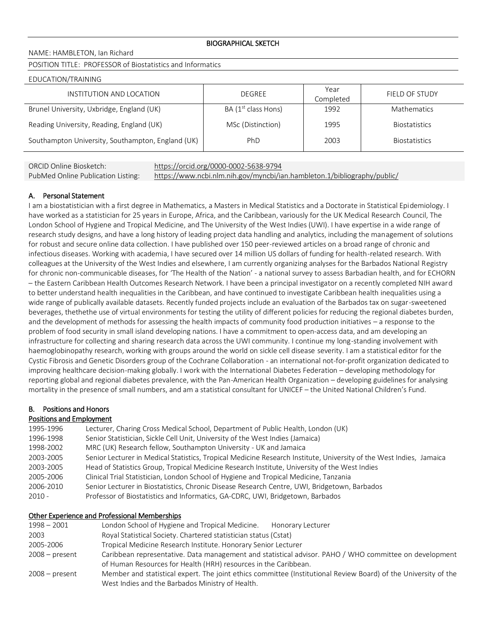NAME: HAMBLETON, Ian Richard

POSITION TITLE: PROFESSOR of Biostatistics and Informatics

#### EDUCATION/TRAINING

| INSTITUTION AND LOCATION                          | DEGREE                | Year<br>Completed | FIELD OF STUDY       |
|---------------------------------------------------|-----------------------|-------------------|----------------------|
| Brunel University, Uxbridge, England (UK)         | BA $(1st$ class Hons) | 1992              | <b>Mathematics</b>   |
| Reading University, Reading, England (UK)         | MSc (Distinction)     | 1995              | <b>Biostatistics</b> |
| Southampton University, Southampton, England (UK) | PhD                   | 2003              | <b>Biostatistics</b> |

ORCID Online Biosketch: https://orcid.org/0000-0002-5638-9794 PubMed Online Publication Listing: https://www.ncbi.nlm.nih.gov/myncbi/ian.hambleton.1/bibliography/public/

## A. Personal Statement

I am a biostatistician with a first degree in Mathematics, a Masters in Medical Statistics and a Doctorate in Statistical Epidemiology. I have worked as a statistician for 25 years in Europe, Africa, and the Caribbean, variously for the UK Medical Research Council, The London School of Hygiene and Tropical Medicine, and The University of the West Indies (UWI). I have expertise in a wide range of research study designs, and have a long history of leading project data handling and analytics, including the management of solutions for robust and secure online data collection. I have published over 150 peer-reviewed articles on a broad range of chronic and infectious diseases. Working with academia, I have secured over 14 million US dollars of funding for health-related research. With colleagues at the University of the West Indies and elsewhere, I am currently organizing analyses for the Barbados National Registry for chronic non-communicable diseases, for 'The Health of the Nation' - a national survey to assess Barbadian health, and for ECHORN – the Eastern Caribbean Health Outcomes Research Network. I have been a principal investigator on a recently completed NIH award to better understand health inequalities in the Caribbean, and have continued to investigate Caribbean health inequalities using a wide range of publically available datasets. Recently funded projects include an evaluation of the Barbados tax on sugar-sweetened beverages, thethethe use of virtual environments for testing the utility of different policies for reducing the regional diabetes burden, and the development of methods for assessing the health impacts of community food production initiatives – a response to the problem of food security in small island developing nations. I have a commitment to open-access data, and am developing an infrastructure for collecting and sharing research data across the UWI community. I continue my long-standing involvement with haemoglobinopathy research, working with groups around the world on sickle cell disease severity. I am a statistical editor for the Cystic Fibrosis and Genetic Disorders group of the Cochrane Collaboration - an international not-for-profit organization dedicated to improving healthcare decision-making globally. I work with the International Diabetes Federation – developing methodology for reporting global and regional diabetes prevalence, with the Pan-American Health Organization – developing guidelines for analysing mortality in the presence of small numbers, and am a statistical consultant for UNICEF – the United National Children's Fund.

# B. Positions and Honors

#### Positions and Employment

| 1995-1996 | Lecturer, Charing Cross Medical School, Department of Public Health, London (UK)                                    |
|-----------|---------------------------------------------------------------------------------------------------------------------|
| 1996-1998 | Senior Statistician, Sickle Cell Unit, University of the West Indies (Jamaica)                                      |
| 1998-2002 | MRC (UK) Research fellow, Southampton University - UK and Jamaica                                                   |
| 2003-2005 | Senior Lecturer in Medical Statistics, Tropical Medicine Research Institute, University of the West Indies, Jamaica |
| 2003-2005 | Head of Statistics Group, Tropical Medicine Research Institute, University of the West Indies                       |
| 2005-2006 | Clinical Trial Statistician, London School of Hygiene and Tropical Medicine, Tanzania                               |
| 2006-2010 | Senior Lecturer in Biostatistics, Chronic Disease Research Centre, UWI, Bridgetown, Barbados                        |
| $2010 -$  | Professor of Biostatistics and Informatics, GA-CDRC, UWI, Bridgetown, Barbados                                      |

## Other Experience and Professional Memberships

| $1998 - 2001$    | London School of Hygiene and Tropical Medicine. Honorary Lecturer                                               |
|------------------|-----------------------------------------------------------------------------------------------------------------|
| 2003             | Royal Statistical Society. Chartered statistician status (Cstat)                                                |
| 2005-2006        | Tropical Medicine Research Institute. Honorary Senior Lecturer                                                  |
| $2008 - present$ | Caribbean representative. Data management and statistical advisor. PAHO / WHO committee on development          |
|                  | of Human Resources for Health (HRH) resources in the Caribbean.                                                 |
| $2008 - present$ | Member and statistical expert. The joint ethics committee (Institutional Review Board) of the University of the |
|                  | West Indies and the Barbados Ministry of Health.                                                                |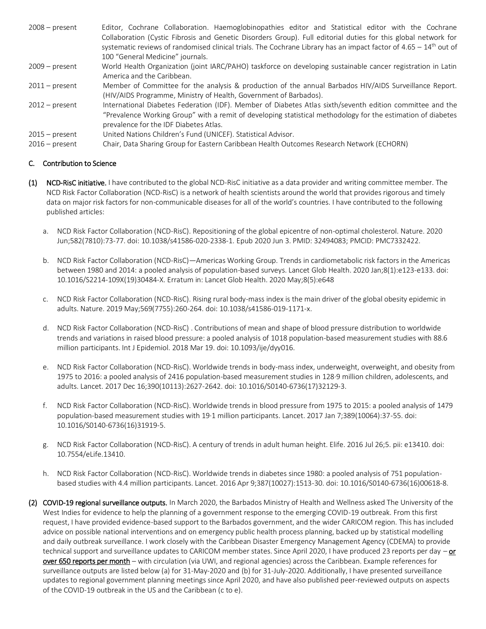| $2008 - present$                                                                                               | Editor, Cochrane Collaboration. Haemoglobinopathies editor and Statistical editor with the Cochrane                                        |  |  |  |  |
|----------------------------------------------------------------------------------------------------------------|--------------------------------------------------------------------------------------------------------------------------------------------|--|--|--|--|
| Collaboration (Cystic Fibrosis and Genetic Disorders Group). Full editorial duties for this global network for |                                                                                                                                            |  |  |  |  |
|                                                                                                                | systematic reviews of randomised clinical trials. The Cochrane Library has an impact factor of $4.65 - 14$ <sup>th</sup> out of            |  |  |  |  |
|                                                                                                                | 100 "General Medicine" journals.                                                                                                           |  |  |  |  |
| $2009 - present$                                                                                               | World Health Organization (joint IARC/PAHO) taskforce on developing sustainable cancer registration in Latin<br>America and the Caribbean. |  |  |  |  |
| $2011 - present$                                                                                               | Member of Committee for the analysis & production of the annual Barbados HIV/AIDS Surveillance Report.                                     |  |  |  |  |
|                                                                                                                | (HIV/AIDS Programme, Ministry of Health, Government of Barbados).                                                                          |  |  |  |  |
| $2012$ – present                                                                                               | International Diabetes Federation (IDF). Member of Diabetes Atlas sixth/seventh edition committee and the                                  |  |  |  |  |
|                                                                                                                | "Prevalence Working Group" with a remit of developing statistical methodology for the estimation of diabetes                               |  |  |  |  |
|                                                                                                                | prevalence for the IDF Diabetes Atlas.                                                                                                     |  |  |  |  |
| $2015 - present$                                                                                               | United Nations Children's Fund (UNICEF). Statistical Advisor.                                                                              |  |  |  |  |
| $2016$ – present                                                                                               | Chair, Data Sharing Group for Eastern Caribbean Health Outcomes Research Network (ECHORN)                                                  |  |  |  |  |

# C. Contribution to Science

- (1) NCD-RisC initiative. I have contributed to the global NCD-RisC initiative as a data provider and writing committee member. The NCD Risk Factor Collaboration (NCD-RisC) is a network of health scientists around the world that provides rigorous and timely data on major risk factors for non-communicable diseases for all of the world's countries. I have contributed to the following published articles:
	- a. NCD Risk Factor Collaboration (NCD-RisC). Repositioning of the global epicentre of non-optimal cholesterol. Nature. 2020 Jun;582(7810):73-77. doi: 10.1038/s41586-020-2338-1. Epub 2020 Jun 3. PMID: 32494083; PMCID: PMC7332422.
	- b. NCD Risk Factor Collaboration (NCD-RisC)—Americas Working Group. Trends in cardiometabolic risk factors in the Americas between 1980 and 2014: a pooled analysis of population-based surveys. Lancet Glob Health. 2020 Jan;8(1):e123-e133. doi: 10.1016/S2214-109X(19)30484-X. Erratum in: Lancet Glob Health. 2020 May;8(5):e648
	- c. NCD Risk Factor Collaboration (NCD-RisC). Rising rural body-mass index is the main driver of the global obesity epidemic in adults. Nature. 2019 May;569(7755):260-264. doi: 10.1038/s41586-019-1171-x.
	- d. NCD Risk Factor Collaboration (NCD-RisC) . Contributions of mean and shape of blood pressure distribution to worldwide trends and variations in raised blood pressure: a pooled analysis of 1018 population-based measurement studies with 88.6 million participants. Int J Epidemiol. 2018 Mar 19. doi: 10.1093/ije/dyy016.
	- e. NCD Risk Factor Collaboration (NCD-RisC). Worldwide trends in body-mass index, underweight, overweight, and obesity from 1975 to 2016: a pooled analysis of 2416 population-based measurement studies in 128·9 million children, adolescents, and adults. Lancet. 2017 Dec 16;390(10113):2627-2642. doi: 10.1016/S0140-6736(17)32129-3.
	- f. NCD Risk Factor Collaboration (NCD-RisC). Worldwide trends in blood pressure from 1975 to 2015: a pooled analysis of 1479 population-based measurement studies with 19·1 million participants. Lancet. 2017 Jan 7;389(10064):37-55. doi: 10.1016/S0140-6736(16)31919-5.
	- g. NCD Risk Factor Collaboration (NCD-RisC). A century of trends in adult human height. Elife. 2016 Jul 26;5. pii: e13410. doi: 10.7554/eLife.13410.
	- h. NCD Risk Factor Collaboration (NCD-RisC). Worldwide trends in diabetes since 1980: a pooled analysis of 751 populationbased studies with 4.4 million participants. Lancet. 2016 Apr 9;387(10027):1513-30. doi: 10.1016/S0140-6736(16)00618-8.
- (2) COVID-19 regional surveillance outputs. In March 2020, the Barbados Ministry of Health and Wellness asked The University of the West Indies for evidence to help the planning of a government response to the emerging COVID-19 outbreak. From this first request, I have provided evidence-based support to the Barbados government, and the wider CARICOM region. This has included advice on possible national interventions and on emergency public health process planning, backed up by statistical modelling and daily outbreak surveillance. I work closely with the Caribbean Disaster Emergency Management Agency (CDEMA) to provide technical support and surveillance updates to CARICOM member states. Since April 2020, I have produced 23 reports per day – or over 650 reports per month – with circulation (via UWI, and regional agencies) across the Caribbean. Example references for surveillance outputs are listed below (a) for 31-May-2020 and (b) for 31-July-2020. Additionally, I have presented surveillance updates to regional government planning meetings since April 2020, and have also published peer-reviewed outputs on aspects of the COVID-19 outbreak in the US and the Caribbean (c to e).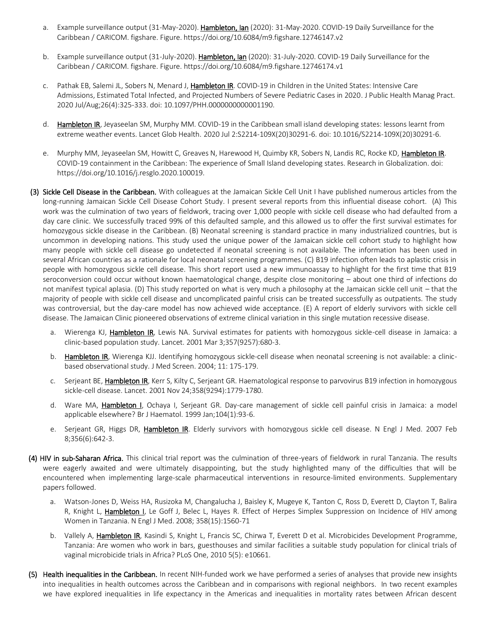- a. Example surveillance output (31-May-2020). Hambleton, Ian (2020): 31-May-2020. COVID-19 Daily Surveillance for the Caribbean / CARICOM. figshare. Figure. https://doi.org/10.6084/m9.figshare.12746147.v2
- b. Example surveillance output (31-July-2020). Hambleton, Ian (2020): 31-July-2020. COVID-19 Daily Surveillance for the Caribbean / CARICOM. figshare. Figure. https://doi.org/10.6084/m9.figshare.12746174.v1
- c. Pathak EB, Salemi JL, Sobers N, Menard J, Hambleton IR. COVID-19 in Children in the United States: Intensive Care Admissions, Estimated Total Infected, and Projected Numbers of Severe Pediatric Cases in 2020. J Public Health Manag Pract. 2020 Jul/Aug;26(4):325-333. doi: 10.1097/PHH.0000000000001190.
- d. Hambleton IR, Jeyaseelan SM, Murphy MM. COVID-19 in the Caribbean small island developing states: lessons learnt from extreme weather events. Lancet Glob Health. 2020 Jul 2:S2214-109X(20)30291-6. doi: 10.1016/S2214-109X(20)30291-6.
- e. Murphy MM, Jeyaseelan SM, Howitt C, Greaves N, Harewood H, Quimby KR, Sobers N, Landis RC, Rocke KD, Hambleton IR. COVID-19 containment in the Caribbean: The experience of Small Island developing states. Research in Globalization. doi: https://doi.org/10.1016/j.resglo.2020.100019.
- (3) Sickle Cell Disease in the Caribbean. With colleagues at the Jamaican Sickle Cell Unit I have published numerous articles from the long-running Jamaican Sickle Cell Disease Cohort Study. I present several reports from this influential disease cohort. (A) This work was the culmination of two years of fieldwork, tracing over 1,000 people with sickle cell disease who had defaulted from a day care clinic. We successfully traced 99% of this defaulted sample, and this allowed us to offer the first survival estimates for homozygous sickle disease in the Caribbean. (B) Neonatal screening is standard practice in many industrialized countries, but is uncommon in developing nations. This study used the unique power of the Jamaican sickle cell cohort study to highlight how many people with sickle cell disease go undetected if neonatal screening is not available. The information has been used in several African countries as a rationale for local neonatal screening programmes. (C) B19 infection often leads to aplastic crisis in people with homozygous sickle cell disease. This short report used a new immunoassay to highlight for the first time that B19 seroconversion could occur without known haematological change, despite close monitoring – about one third of infections do not manifest typical aplasia. (D) This study reported on what is very much a philosophy at the Jamaican sickle cell unit – that the majority of people with sickle cell disease and uncomplicated painful crisis can be treated successfully as outpatients. The study was controversial, but the day-care model has now achieved wide acceptance. (E) A report of elderly survivors with sickle cell disease. The Jamaican Clinic pioneered observations of extreme clinical variation in this single mutation recessive disease.
	- a. Wierenga KJ, Hambleton IR, Lewis NA. Survival estimates for patients with homozygous sickle-cell disease in Jamaica: a clinic-based population study. Lancet. 2001 Mar 3;357(9257):680-3.
	- b. Hambleton IR, Wierenga KJJ. Identifying homozygous sickle-cell disease when neonatal screening is not available: a clinicbased observational study. J Med Screen. 2004; 11: 175-179.
	- c. Serjeant BE, **Hambleton IR**, Kerr S, Kilty C, Serjeant GR. Haematological response to parvovirus B19 infection in homozygous sickle-cell disease. Lancet. 2001 Nov 24;358(9294):1779-1780.
	- d. Ware MA, Hambleton I, Ochaya I, Serjeant GR. Day-care management of sickle cell painful crisis in Jamaica: a model applicable elsewhere? Br J Haematol. 1999 Jan;104(1):93-6.
	- e. Serjeant GR, Higgs DR, **Hambleton IR**. Elderly survivors with homozygous sickle cell disease. N Engl J Med. 2007 Feb 8;356(6):642-3.
- (4) HIV in sub-Saharan Africa. This clinical trial report was the culmination of three-years of fieldwork in rural Tanzania. The results were eagerly awaited and were ultimately disappointing, but the study highlighted many of the difficulties that will be encountered when implementing large-scale pharmaceutical interventions in resource-limited environments. Supplementary papers followed.
	- a. Watson-Jones D, Weiss HA, Rusizoka M, Changalucha J, Baisley K, Mugeye K, Tanton C, Ross D, Everett D, Clayton T, Balira R, Knight L, Hambleton I, Le Goff J, Belec L, Hayes R. Effect of Herpes Simplex Suppression on Incidence of HIV among Women in Tanzania. N Engl J Med. 2008; 358(15):1560-71
	- b. Vallely A, Hambleton IR, Kasindi S, Knight L, Francis SC, Chirwa T, Everett D et al. Microbicides Development Programme, Tanzania: Are women who work in bars, guesthouses and similar facilities a suitable study population for clinical trials of vaginal microbicide trials in Africa? PLoS One, 2010 5(5): e10661.
- (5) Health inequalities in the Caribbean. In recent NIH-funded work we have performed a series of analyses that provide new insights into inequalities in health outcomes across the Caribbean and in comparisons with regional neighbors. In two recent examples we have explored inequalities in life expectancy in the Americas and inequalities in mortality rates between African descent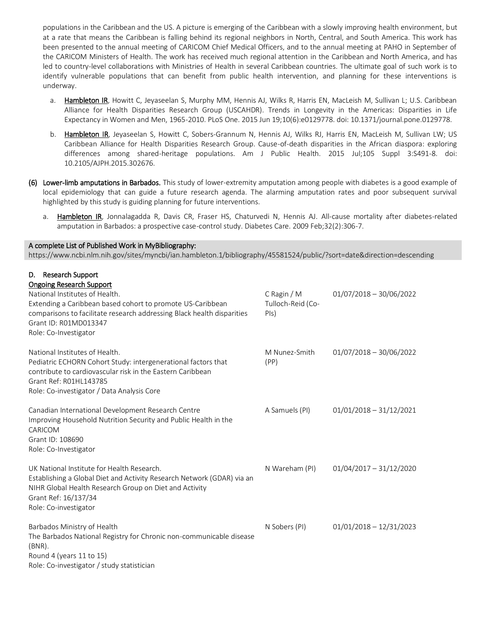populations in the Caribbean and the US. A picture is emerging of the Caribbean with a slowly improving health environment, but at a rate that means the Caribbean is falling behind its regional neighbors in North, Central, and South America. This work has been presented to the annual meeting of CARICOM Chief Medical Officers, and to the annual meeting at PAHO in September of the CARICOM Ministers of Health. The work has received much regional attention in the Caribbean and North America, and has led to country-level collaborations with Ministries of Health in several Caribbean countries. The ultimate goal of such work is to identify vulnerable populations that can benefit from public health intervention, and planning for these interventions is underway.

- a. Hambleton IR, Howitt C, Jeyaseelan S, Murphy MM, Hennis AJ, Wilks R, Harris EN, MacLeish M, Sullivan L; U.S. Caribbean Alliance for Health Disparities Research Group (USCAHDR). Trends in Longevity in the Americas: Disparities in Life Expectancy in Women and Men, 1965-2010. PLoS One. 2015 Jun 19;10(6):e0129778. doi: 10.1371/journal.pone.0129778.
- b. Hambleton IR, Jeyaseelan S, Howitt C, Sobers-Grannum N, Hennis AJ, Wilks RJ, Harris EN, MacLeish M, Sullivan LW; US Caribbean Alliance for Health Disparities Research Group. Cause-of-death disparities in the African diaspora: exploring differences among shared-heritage populations. Am J Public Health. 2015 Jul;105 Suppl 3:S491-8. doi: 10.2105/AJPH.2015.302676.
- (6) Lower-limb amputations in Barbados. This study of lower-extremity amputation among people with diabetes is a good example of local epidemiology that can guide a future research agenda. The alarming amputation rates and poor subsequent survival highlighted by this study is guiding planning for future interventions.
	- a. Hambleton IR, Jonnalagadda R, Davis CR, Fraser HS, Chaturvedi N, Hennis AJ. All-cause mortality after diabetes-related amputation in Barbados: a prospective case-control study. Diabetes Care. 2009 Feb;32(2):306-7.

#### A complete List of Published Work in MyBibliography:

https://www.ncbi.nlm.nih.gov/sites/myncbi/ian.hambleton.1/bibliography/45581524/public/?sort=date&direction=descending

# D. Research Support

| <b>Ongoing Research Support</b>                                                                 |                   |                           |
|-------------------------------------------------------------------------------------------------|-------------------|---------------------------|
| National Institutes of Health.                                                                  | C Ragin / M       | $01/07/2018 - 30/06/2022$ |
| Extending a Caribbean based cohort to promote US-Caribbean                                      | Tulloch-Reid (Co- |                           |
| comparisons to facilitate research addressing Black health disparities<br>Grant ID: R01MD013347 | PIS)              |                           |
| Role: Co-Investigator                                                                           |                   |                           |
|                                                                                                 |                   |                           |
| National Institutes of Health.                                                                  | M Nunez-Smith     | $01/07/2018 - 30/06/2022$ |
| Pediatric ECHORN Cohort Study: intergenerational factors that                                   | (PP)              |                           |
| contribute to cardiovascular risk in the Eastern Caribbean                                      |                   |                           |
| Grant Ref: R01HL143785                                                                          |                   |                           |
| Role: Co-investigator / Data Analysis Core                                                      |                   |                           |
| Canadian International Development Research Centre                                              | A Samuels (PI)    | $01/01/2018 - 31/12/2021$ |
| Improving Household Nutrition Security and Public Health in the                                 |                   |                           |
| CARICOM                                                                                         |                   |                           |
| Grant ID: 108690                                                                                |                   |                           |
| Role: Co-Investigator                                                                           |                   |                           |
| UK National Institute for Health Research.                                                      | N Wareham (PI)    | $01/04/2017 - 31/12/2020$ |
| Establishing a Global Diet and Activity Research Network (GDAR) via an                          |                   |                           |
| NIHR Global Health Research Group on Diet and Activity                                          |                   |                           |
| Grant Ref: 16/137/34                                                                            |                   |                           |
| Role: Co-investigator                                                                           |                   |                           |
| Barbados Ministry of Health                                                                     | N Sobers (PI)     | $01/01/2018 - 12/31/2023$ |
| The Barbados National Registry for Chronic non-communicable disease                             |                   |                           |
| $(BNR)$ .                                                                                       |                   |                           |
| Round 4 (years 11 to 15)                                                                        |                   |                           |
| Role: Co-investigator / study statistician                                                      |                   |                           |